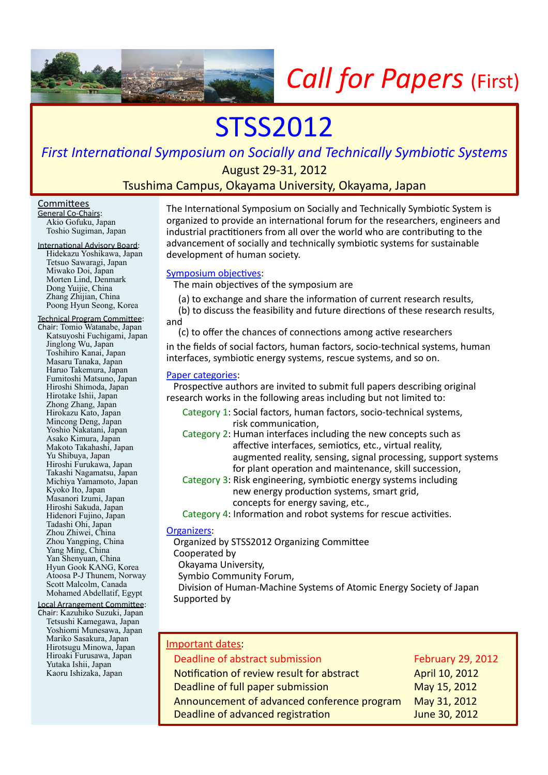

# STSS2012

**First International Symposium on Socially and Technically Symbiotic Systems** 

August 29-31, 2012

Tsushima Campus, Okayama University, Okayama, Japan

### **Committees**

General Co-Chairs: Akio Gofuku, Japan Toshio Sugiman, Japan

International Advisory Board: Hidekazu Yoshikawa, Japan Tetsuo Sawaragi, Japan Miwako Doi, Japan Morten Lind, Denmark Dong Yuijie, China Zhang Zhijian, China Poong Hyun Seong, Korea

Technical Program Committee: Chair: Tomio Watanabe, Japan Katsuyoshi Fuchigami, Japan Jinglong Wu, Japan Toshihiro Kanai, Japan Masaru Tanaka, Japan Haruo Takemura, Japan Fumitoshi Matsuno, Japan Hiroshi Shimoda, Japan Hirotake Ishii, Japan Zhong Zhang, Japan Hirokazu Kato, Japan Mincong Deng, Japan Yoshio Nakatani, Japan Asako Kimura, Japan Makoto Takahashi, Japan Yu Shibuya, Japan Hiroshi Furukawa, Japan Takashi Nagamatsu, Japan Michiya Yamamoto, Japan Kyoko Ito, Japan Masanori Izumi, Japan Hiroshi Sakuda, Japan Hidenori Fujino, Japan Tadashi Ohi, Japan Zhou Zhiwei, China Zhou Yangping, China Yang Ming, China Yan Shenyuan, China Hyun Gook KANG, Korea Atoosa P-J Thunem, Norway Scott Malcolm, Canada Mohamed Abdellatif, Egypt

#### Local Arrangement Committee:

Chair: Kazuhiko Suzuki, Japan Tetsushi Kamegawa, Japan Yoshiomi Munesawa, Japan Mariko Sasakura, Japan Hirotsugu Minowa, Japan Hiroaki Furusawa, Japan Yutaka Ishii, Japan Kaoru Ishizaka, Japan

The International Symposium on Socially and Technically Symbiotic System is organized to provide an international forum for the researchers, engineers and industrial practitioners from all over the world who are contributing to the advancement of socially and technically symbiotic systems for sustainable development of human society.

# Symposium objectives:

The main objectives of the symposium are

- (a) to exchange and share the information of current research results,
- (b) to discuss the feasibility and future directions of these research results, and(
- (c) to offer the chances of connections among active researchers

in the fields of social factors, human factors, socio-technical systems, human interfaces, symbiotic energy systems, rescue systems, and so on.

### Paper categories:

Prospective authors are invited to submit full papers describing original research works in the following areas including but not limited to:

- Category 1: Social factors, human factors, socio-technical systems, risk communication.
- Category 2: Human interfaces including the new concepts such as affective interfaces, semiotics, etc., virtual reality, augmented reality, sensing, signal processing, support systems for plant operation and maintenance, skill succession,
- Category 3: Risk engineering, symbiotic energy systems including new energy production systems, smart grid, concepts for energy saving, etc.,

Category 4: Information and robot systems for rescue activities.

# Organizers:

Organized by STSS2012 Organizing Committee

- Cooperated by
- Okayama University,

Symbio Community Forum,

Division of Human-Machine Systems of Atomic Energy Society of Japan Supported by

| Important dates:                            |                          |
|---------------------------------------------|--------------------------|
| Deadline of abstract submission             | <b>February 29, 2012</b> |
| Notification of review result for abstract  | April 10, 2012           |
| Deadline of full paper submission           | May 15, 2012             |
| Announcement of advanced conference program | May 31, 2012             |
| Deadline of advanced registration           | June 30, 2012            |